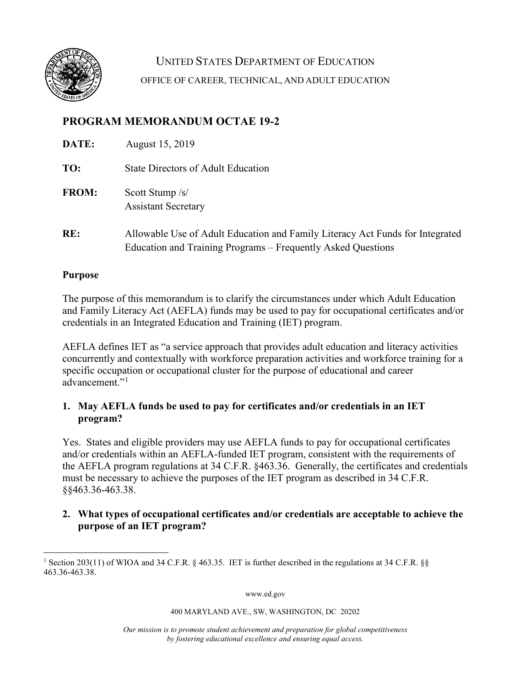

UNITED STATES DEPARTMENT OF EDUCATION OFFICE OF CAREER, TECHNICAL, AND ADULT EDUCATION

# **PROGRAM MEMORANDUM OCTAE 19-2**

| DATE:        | August 15, 2019                                                                                                                               |
|--------------|-----------------------------------------------------------------------------------------------------------------------------------------------|
| TO:          | <b>State Directors of Adult Education</b>                                                                                                     |
| <b>FROM:</b> | Scott Stump /s/<br><b>Assistant Secretary</b>                                                                                                 |
| RE:          | Allowable Use of Adult Education and Family Literacy Act Funds for Integrated<br>Education and Training Programs – Frequently Asked Questions |

### **Purpose**

The purpose of this memorandum is to clarify the circumstances under which Adult Education and Family Literacy Act (AEFLA) funds may be used to pay for occupational certificates and/or credentials in an Integrated Education and Training (IET) program.

AEFLA defines IET as "a service approach that provides adult education and literacy activities concurrently and contextually with workforce preparation activities and workforce training for a specific occupation or occupational cluster for the purpose of educational and career advancement."<sup>[1](#page-0-0)</sup>

# **1. May AEFLA funds be used to pay for certificates and/or credentials in an IET program?**

Yes. States and eligible providers may use AEFLA funds to pay for occupational certificates and/or credentials within an AEFLA-funded IET program, consistent with the requirements of the AEFLA program regulations at 34 C.F.R. §463.36. Generally, the certificates and credentials must be necessary to achieve the purposes of the IET program as described in 34 C.F.R. §§463.36-463.38.

# **2. What types of occupational certificates and/or credentials are acceptable to achieve the purpose of an IET program?**

www.ed.gov

#### 400 MARYLAND AVE., SW, WASHINGTON, DC 20202

*Our mission is to promote student achievement and preparation for global competitiveness by fostering educational excellence and ensuring equal access.*

<span id="page-0-0"></span><sup>1</sup> Section 203(11) of WIOA and 34 C.F.R[. §](https://www.law.cornell.edu/cfr/text/34/463.38) 463.35. IET is further described in the regulations at 34 C.F.R. [§§](https://www.law.cornell.edu/cfr/text/34/463.38) 463.36-463.38.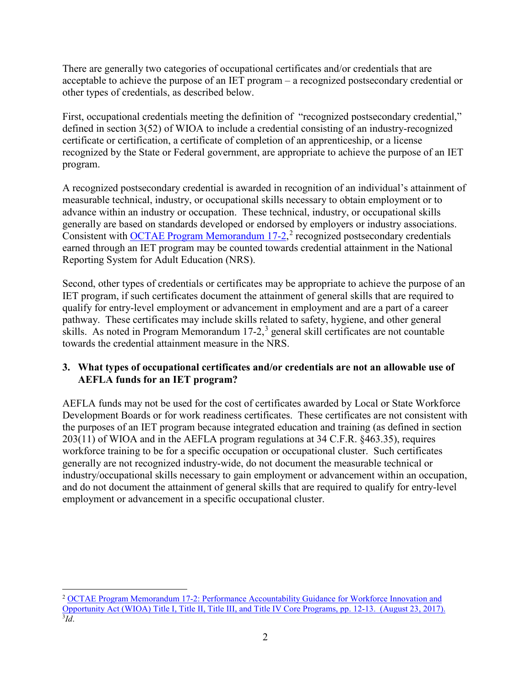There are generally two categories of occupational certificates and/or credentials that are acceptable to achieve the purpose of an IET program – a recognized postsecondary credential or other types of credentials, as described below.

First, occupational credentials meeting the definition of "recognized postsecondary credential," defined in section 3(52) of WIOA to include a credential consisting of an industry-recognized certificate or certification, a certificate of completion of an apprenticeship, or a license recognized by the State or Federal government, are appropriate to achieve the purpose of an IET program.

A recognized postsecondary credential is awarded in recognition of an individual's attainment of measurable technical, industry, or occupational skills necessary to obtain employment or to advance within an industry or occupation. These technical, industry, or occupational skills generally are based on standards developed or endorsed by employers or industry associations. Consistent with **OCTAE Program Memorandum 17-[2](#page-1-0)**,<sup>2</sup> recognized postsecondary credentials earned through an IET program may be counted towards credential attainment in the National Reporting System for Adult Education (NRS).

Second, other types of credentials or certificates may be appropriate to achieve the purpose of an IET program, if such certificates document the attainment of general skills that are required to qualify for entry-level employment or advancement in employment and are a part of a career pathway. These certificates may include skills related to safety, hygiene, and other general skills. As noted in Program Memorandum  $17-2$ , general skill certificates are not countable towards the credential attainment measure in the NRS.

# **3. What types of occupational certificates and/or credentials are not an allowable use of AEFLA funds for an IET program?**

AEFLA funds may not be used for the cost of certificates awarded by Local or State Workforce Development Boards or for work readiness certificates. These certificates are not consistent with the purposes of an IET program because integrated education and training (as defined in section 203(11) of WIOA and in the AEFLA program regulations at 34 C.F.R. §463.35), requires workforce training to be for a specific occupation or occupational cluster. Such certificates generally are not recognized industry-wide, do not document the measurable technical or industry/occupational skills necessary to gain employment or advancement within an occupation, and do not document the attainment of general skills that are required to qualify for entry-level employment or advancement in a specific occupational cluster.

<span id="page-1-1"></span><span id="page-1-0"></span><sup>2</sup> [OCTAE Program Memorandum 17-2: Performance Accountability Guidance for Workforce Innovation and](https://www2.ed.gov/about/offices/list/ovae/pi/AdultEd/octae-program-memo-17-2.pdf)  [Opportunity Act \(WIOA\) Title I, Title II, Title III, and Title IV Core Programs, pp. 12-13. \(August 23, 2017\).](https://www2.ed.gov/about/offices/list/ovae/pi/AdultEd/octae-program-memo-17-2.pdf) 3 *Id*.